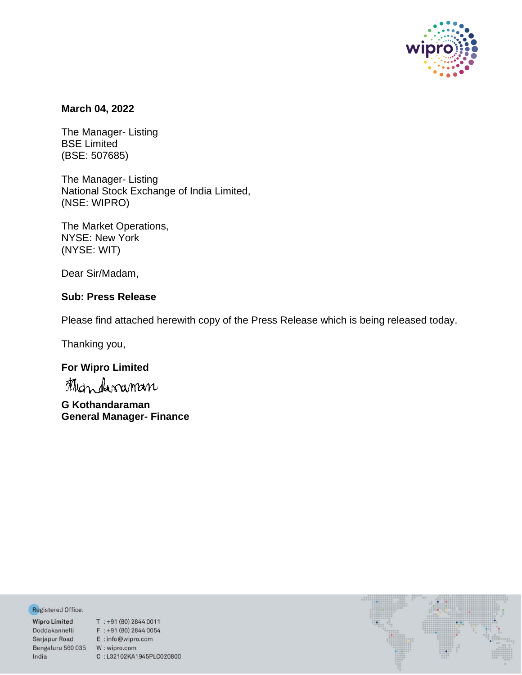

## **March 04, 2022**

The Manager- Listing BSE Limited (BSE: 507685)

The Manager- Listing National Stock Exchange of India Limited, (NSE: WIPRO)

The Market Operations, NYSE: New York (NYSE: WIT)

Dear Sir/Madam,

# **Sub: Press Release**

Please find attached herewith copy of the Press Release which is being released today.

Thanking you,

# **For Wipro Limited**

**G Kothandaraman General Manager- Finance**

Registered Office:

Bengaluru 560 035 W: wipro.com India

**Negistered Office:**<br> **Wipro Limited** T : +91 (80) 2844 0011<br>
Doddakannelli F : +91 (80) 2844 0054<br>
Sarjapur Road E : info@wipro.com C:L32102KA1945PLC020800

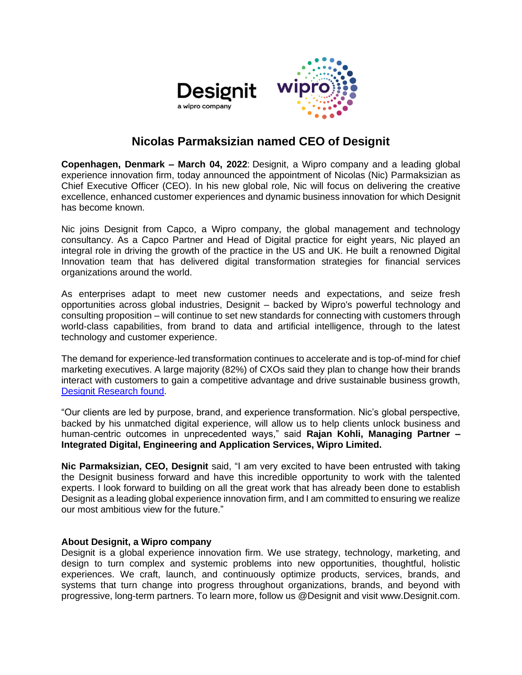

# **Nicolas Parmaksizian named CEO of Designit**

**Copenhagen, Denmark – March 04, 2022**: Designit, a Wipro company and a leading global experience innovation firm, today announced the appointment of Nicolas (Nic) Parmaksizian as Chief Executive Officer (CEO). In his new global role, Nic will focus on delivering the creative excellence, enhanced customer experiences and dynamic business innovation for which Designit has become known.

Nic joins Designit from Capco, a Wipro company, the global management and technology consultancy. As a Capco Partner and Head of Digital practice for eight years, Nic played an integral role in driving the growth of the practice in the US and UK. He built a renowned Digital Innovation team that has delivered digital transformation strategies for financial services organizations around the world.

As enterprises adapt to meet new customer needs and expectations, and seize fresh opportunities across global industries, Designit – backed by Wipro's powerful technology and consulting proposition – will continue to set new standards for connecting with customers through world-class capabilities, from brand to data and artificial intelligence, through to the latest technology and customer experience.

The demand for experience-led transformation continues to accelerate and is top-of-mind for chief marketing executives. A large majority (82%) of CXOs said they plan to change how their brands interact with customers to gain a competitive advantage and drive sustainable business growth, [Designit Research found.](https://www.designit.com/stories/news/wipro-and-designit-research-shows-that-68-of-cmos-say-empathy-and-transparency-surpass-innovation-in-brand-success)

"Our clients are led by purpose, brand, and experience transformation. Nic's global perspective, backed by his unmatched digital experience, will allow us to help clients unlock business and human-centric outcomes in unprecedented ways," said **Rajan Kohli, Managing Partner – Integrated Digital, Engineering and Application Services, Wipro Limited.**

**Nic Parmaksizian, CEO, Designit** said, "I am very excited to have been entrusted with taking the Designit business forward and have this incredible opportunity to work with the talented experts. I look forward to building on all the great work that has already been done to establish Designit as a leading global experience innovation firm, and I am committed to ensuring we realize our most ambitious view for the future."

### **About Designit, a Wipro company**

Designit is a global experience innovation firm. We use strategy, technology, marketing, and design to turn complex and systemic problems into new opportunities, thoughtful, holistic experiences. We craft, launch, and continuously optimize products, services, brands, and systems that turn change into progress throughout organizations, brands, and beyond with progressive, long-term partners. To learn more, follow us @Designit and visit www.Designit.com.